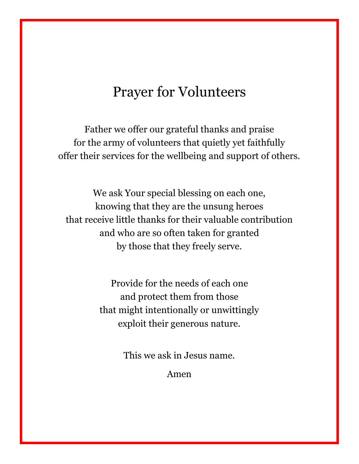### Prayer for Volunteers

Father we offer our grateful thanks and praise for the army of volunteers that quietly yet faithfully offer their services for the wellbeing and support of others.

We ask Your special blessing on each one, knowing that they are the unsung heroes that receive little thanks for their valuable contribution and who are so often taken for granted by those that they freely serve.

> Provide for the needs of each one and protect them from those that might intentionally or unwittingly exploit their generous nature.

> > This we ask in Jesus name.

Amen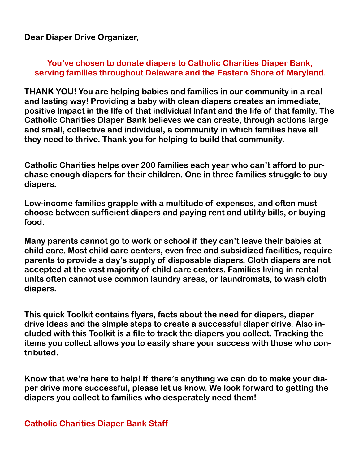**Dear Diaper Drive Organizer,**

#### **You've chosen to donate diapers to Catholic Charities Diaper Bank, serving families throughout Delaware and the Eastern Shore of Maryland.**

**THANK YOU! You are helping babies and families in our community in a real and lasting way! Providing a baby with clean diapers creates an immediate, positive impact in the life of that individual infant and the life of that family. The Catholic Charities Diaper Bank believes we can create, through actions large and small, collective and individual, a community in which families have all they need to thrive. Thank you for helping to build that community.**

**Catholic Charities helps over 200 families each year who can't afford to purchase enough diapers for their children. One in three families struggle to buy diapers.**

**Low-income families grapple with a multitude of expenses, and often must choose between sufficient diapers and paying rent and utility bills, or buying food.**

**Many parents cannot go to work or school if they can't leave their babies at child care. Most child care centers, even free and subsidized facilities, require parents to provide a day's supply of disposable diapers. Cloth diapers are not accepted at the vast majority of child care centers. Families living in rental units often cannot use common laundry areas, or laundromats, to wash cloth diapers.** 

**This quick Toolkit contains flyers, facts about the need for diapers, diaper drive ideas and the simple steps to create a successful diaper drive. Also included with this Toolkit is a file to track the diapers you collect. Tracking the items you collect allows you to easily share your success with those who contributed.**

**Know that we're here to help! If there's anything we can do to make your diaper drive more successful, please let us know. We look forward to getting the diapers you collect to families who desperately need them!**

**Catholic Charities Diaper Bank Staff**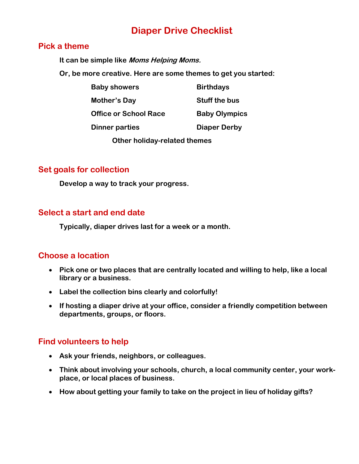#### **Diaper Drive Checklist**

#### **Pick a theme**

**It can be simple like Moms Helping Moms.** 

**Or, be more creative. Here are some themes to get you started:**

| <b>Baby showers</b>          | <b>Birthdays</b>     |
|------------------------------|----------------------|
| Mother's Day                 | <b>Stuff the bus</b> |
| <b>Office or School Race</b> | <b>Baby Olympics</b> |
| <b>Dinner parties</b>        | <b>Diaper Derby</b>  |
|                              |                      |

**Other holiday-related themes** 

#### **Set goals for collection**

**Develop a way to track your progress.**

#### **Select a start and end date**

**Typically, diaper drives last for a week or a month.** 

#### **Choose a location**

- **Pick one or two places that are centrally located and willing to help, like a local library or a business.**
- **Label the collection bins clearly and colorfully!**
- **If hosting a diaper drive at your office, consider a friendly competition between departments, groups, or floors.**

#### **Find volunteers to help**

- **Ask your friends, neighbors, or colleagues.**
- **Think about involving your schools, church, a local community center, your workplace, or local places of business.**
- **How about getting your family to take on the project in lieu of holiday gifts?**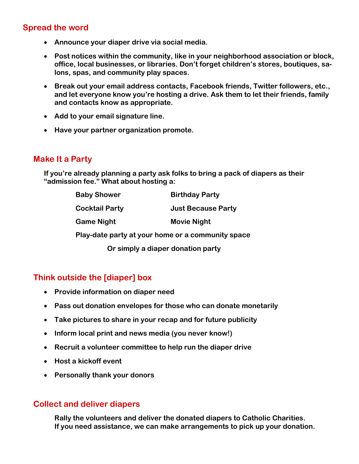#### **Spread the word**

- **Announce your diaper drive via social media.**
- **Post notices within the community, like in your neighborhood association or block, office, local businesses, or libraries. Don't forget children's stores, boutiques, salons, spas, and community play spaces.**
- **Break out your email address contacts, Facebook friends, Twitter followers, etc., and let everyone know you're hosting a drive. Ask them to let their friends, family and contacts know as appropriate.**
- **Add to your email signature line.**
- **Have your partner organization promote.**

#### **Make It a Party**

**If you're already planning a party ask folks to bring a pack of diapers as their "admission fee." What about hosting a:**

| <b>Baby Shower</b>                                | <b>Birthday Party</b>     |  |
|---------------------------------------------------|---------------------------|--|
| <b>Cocktail Party</b>                             | <b>Just Because Party</b> |  |
| <b>Game Night</b>                                 | <b>Movie Night</b>        |  |
| Play-date party at your home or a community space |                           |  |

**Or simply a diaper donation party**

#### **Think outside the [diaper] box**

- **Provide information on diaper need**
- **Pass out donation envelopes for those who can donate monetarily**
- **Take pictures to share in your recap and for future publicity**
- **Inform local print and news media (you never know!)**
- **Recruit a volunteer committee to help run the diaper drive**
- **Host a kickoff event**
- **Personally thank your donors**

#### **Collect and deliver diapers**

**Rally the volunteers and deliver the donated diapers to Catholic Charities. If you need assistance, we can make arrangements to pick up your donation.**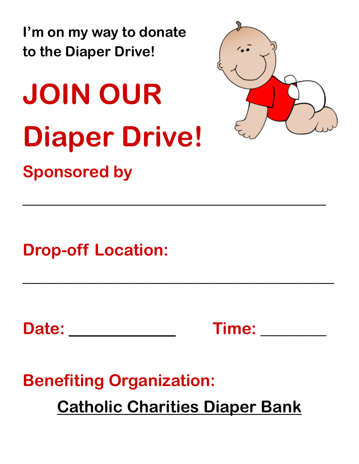**I'm on my way to donate to the Diaper Drive!**

# **JOIN OUR Diaper Drive! Sponsored by**



**Drop-off Location:** 

Date: Time:

**\_\_\_\_\_\_\_\_\_\_\_\_\_\_\_\_\_\_\_\_\_\_\_\_\_\_\_\_\_\_\_\_\_\_\_\_\_**

**\_\_\_\_\_\_\_\_\_\_\_\_\_\_\_\_\_\_\_\_\_\_\_\_\_\_\_\_\_\_\_\_\_\_\_\_\_\_**

**Benefiting Organization: Catholic Charities Diaper Bank**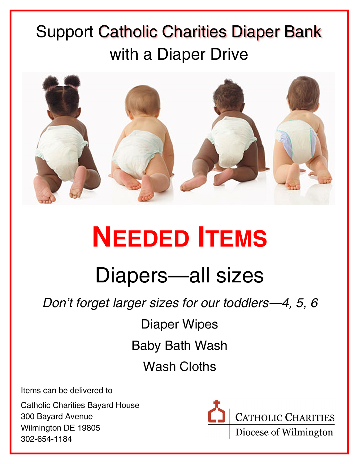## Support Catholic Charities Diaper Bank with a Diaper Drive



# **NEEDED ITEMS**

## Diapers—all sizes

*Don't forget larger sizes for our toddlers—4, 5, 6*

Diaper Wipes Baby Bath Wash Wash Cloths

Items can be delivered to

Catholic Charities Bayard House 300 Bayard Avenue Wilmington DE 19805 302-654-1184

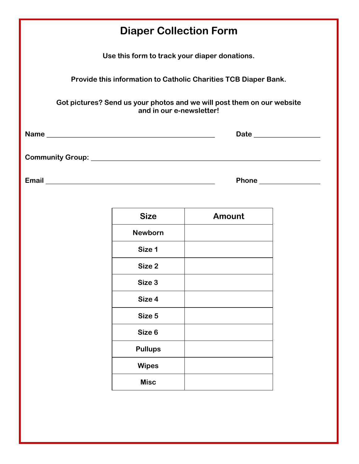| <b>Diaper Collection Form</b>                                                                      |                |               |  |  |
|----------------------------------------------------------------------------------------------------|----------------|---------------|--|--|
| Use this form to track your diaper donations.                                                      |                |               |  |  |
| Provide this information to Catholic Charities TCB Diaper Bank.                                    |                |               |  |  |
| Got pictures? Send us your photos and we will post them on our website<br>and in our e-newsletter! |                |               |  |  |
|                                                                                                    |                |               |  |  |
|                                                                                                    |                |               |  |  |
|                                                                                                    |                |               |  |  |
|                                                                                                    | <b>Size</b>    | <b>Amount</b> |  |  |
|                                                                                                    | <b>Newborn</b> |               |  |  |
|                                                                                                    | Size 1         |               |  |  |
|                                                                                                    | Size 2         |               |  |  |
|                                                                                                    | Size 3         |               |  |  |
|                                                                                                    | Size 4         |               |  |  |
|                                                                                                    | Size 5         |               |  |  |
|                                                                                                    | Size 6         |               |  |  |
|                                                                                                    | <b>Pullups</b> |               |  |  |
|                                                                                                    | <b>Wipes</b>   |               |  |  |
|                                                                                                    | <b>Misc</b>    |               |  |  |
|                                                                                                    |                |               |  |  |